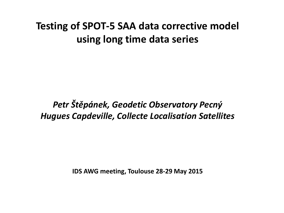# **Testing of SPOT-5 SAA data corrective model using long time data series**

# *Petr Štěpánek, Geodetic Observatory Pecný Hugues Capdeville, Collecte Localisation Satellites*

**IDS AWG meeting, Toulouse 28-29 May 2015**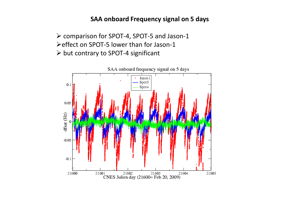#### **SAA onboard Frequency signal on 5 days**

 comparison for SPOT-4, SPOT-5 and Jason-1 effect on SPOT-5 lower than for Jason-1  $\triangleright$  but contrary to SPOT-4 significant

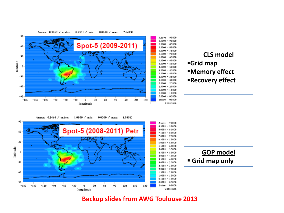



(mean: 0.3464 / stdev:  $1.0109 / min$  $0.0000 / \text{max}$ 8.08563



#### **Backup slides from AWG Toulouse 2013**

#### (mean: 0.3069 / st.dev: 0.9351 / min: 0.0000 / max: 7.8413)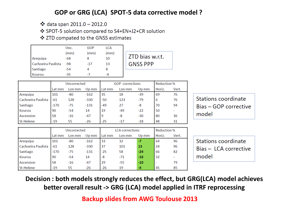## **GOP or GRG (LCA) SPOT-5 data corrective model ?**

❖ data span  $2011.0 - 2012.0$ 

❖ SPOT-5 solution compared to S4+EN+J2+CR solution

❖ ZTD compated to the GNSS estimates

|                    | Unc.  | GOP   | <b>LCA</b> |  |
|--------------------|-------|-------|------------|--|
|                    | (mm)  | (mm)  | (mm)       |  |
| Arequipa           | -68   |       | 10         |  |
| Cachoeira Paulista | $-98$ | $-17$ | 13         |  |
| Santiago           | -54   |       |            |  |
| Kourou             | -35   |       | -4         |  |

7TD bias w.r.t. **GNSS PPP** 

|                    | Uncorrected |        |        |        | <b>GOP</b> corrections | <b>Reduction %</b> |        |       |
|--------------------|-------------|--------|--------|--------|------------------------|--------------------|--------|-------|
|                    | Lat mm      | Lon mm | Up mm  | Lat mm | Lon mm                 | Up mm              | Horiz. | Vert. |
| Arequipa           | 101         | -80    | $-162$ | 35     | 18                     | $-39$              | 69     | 76    |
| Cachoeira Paulista | $-61$       | 128    | $-330$ | $-50$  | 123                    | $-79$              | 6      | 76    |
| Santiago           | $-170$      | -75    | $-131$ | $-49$  | 27                     | -8                 | 70     | 94    |
| Kourou             | 90          | $-54$  | 14     | 19     | $-49$                  | $-22$              | 50     |       |
| Ascension          | 58          | $-16$  | $-47$  | 9      | -8                     | $-30$              | 80     | 36    |
| St-Helene          | $-19$       | 55     | $-26$  | $-25$  | $-17$                  | $-18$              | 48     | 31    |

|                    | Uncorrected |        |        |        | <b>LCA</b> corrections |       |        | <b>Reduction %</b> |  |
|--------------------|-------------|--------|--------|--------|------------------------|-------|--------|--------------------|--|
|                    | Lat mm      | Lon mm | Up mm  | Lat mm | Lon mm                 | Up mm | Horiz. | Vert.              |  |
| Arequipa           | 101         | $-80$  | $-162$ | 33     | 32                     | -7    | 64     | 96                 |  |
| Cachoeira Paulista | $-61$       | 128    | $-330$ | 37     | 101                    | 13    | 24     | 96                 |  |
| Santiago           | $-170$      | -75    | $-131$ | $-25$  | 58                     | $-24$ | 66     | 82                 |  |
| Kourou             | 90          | $-54$  | 14     | -8     | $-71$                  | $-16$ | 32     |                    |  |
| Ascension          | 58          | $-16$  | $-47$  | 29     | $-55$                  | $-10$ | ۰      | 79                 |  |
| St-Helene          | $-19$       | 55     | $-26$  | $-26$  | 19                     | -4    | 45     | 85                 |  |

Stations coordinate Bias - GOP corrective model



**Decision : both models strongly reduces the effect, but GRG(LCA) model achieves better overall result -> GRG (LCA) model applied in ITRF reprocessing**

**Backup slides from AWG Toulouse 2013**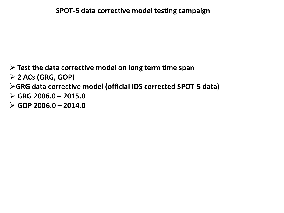## **Test the data corrective model on long term time span**

**2 ACs (GRG, GOP)** 

**GRG data corrective model (official IDS corrected SPOT-5 data)**

**GRG 2006.0 – 2015.0** 

**GOP 2006.0 – 2014.0**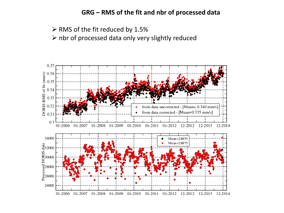#### **GRG – RMS of the fit and nbr of processed data**

 $\triangleright$  RMS of the fit reduced by 1.5%

 $\triangleright$  nbr of processed data only very slightly reduced

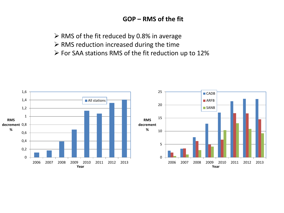#### **GOP – RMS of the fit**

 $\triangleright$  RMS of the fit reduced by 0.8% in average

- $\triangleright$  RMS reduction increased during the time
- For SAA stations RMS of the fit reduction up to 12%

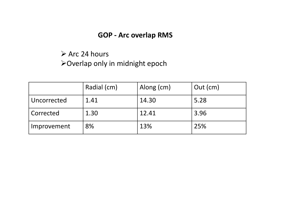## **GOP - Arc overlap RMS**

# $\triangleright$  Arc 24 hours

Overlap only in midnight epoch

|             | Radial (cm) | Along (cm) | $Out$ (cm) |
|-------------|-------------|------------|------------|
| Uncorrected | 1.41        | 14.30      | 5.28       |
| Corrected   | 1.30        | 12.41      | 3.96       |
| Improvement | 8%          | 13%        | 25%        |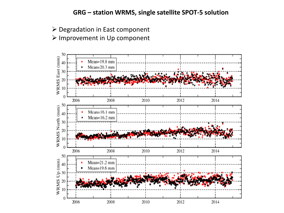#### **GRG – station WRMS, single satellite SPOT-5 solution**

Degradation in East component

#### Improvement in Up component

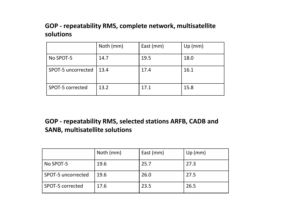#### **GOP - repeatability RMS, complete network, multisatellite solutions**

|                    | Noth (mm) | East (mm) | Up (mm) |
|--------------------|-----------|-----------|---------|
| No SPOT-5          | 14.7      | 19.5      | 18.0    |
| SPOT-5 uncorrected | 13.4      | 17.4      | 16.1    |
| SPOT-5 corrected   | 13.2      | 17.1      | 15.8    |

## **GOP - repeatability RMS, selected stations ARFB, CADB and SANB, multisatellite solutions**

|                    | Noth (mm) | East (mm) | Up(mm) |
|--------------------|-----------|-----------|--------|
| No SPOT-5          | 19.6      | 25.7      | 27.3   |
| SPOT-5 uncorrected | 19.6      | 26.0      | 27.5   |
| SPOT-5 corrected   | 17.6      | 23.5      | 26.5   |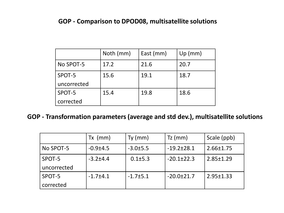#### **GOP - Comparison to DPOD08, multisatellite solutions**

|             | Noth (mm) | East (mm) | Up (mm) |
|-------------|-----------|-----------|---------|
| No SPOT-5   | 17.2      | 21.6      | 20.7    |
| SPOT-5      | 15.6      | 19.1      | 18.7    |
| uncorrected |           |           |         |
| SPOT-5      | 15.4      | 19.8      | 18.6    |
| corrected   |           |           |         |

## **GOP - Transformation parameters (average and std dev.), multisatellite solutions**

|             | $Tx \ (mm)$    | $Ty$ (mm)      | $Tz$ (mm)        | Scale (ppb)     |
|-------------|----------------|----------------|------------------|-----------------|
| No SPOT-5   | $-0.9{\pm}4.5$ | $-3.0±5.5$     | $-19.2 \pm 28.1$ | $2.66 \pm 1.75$ |
| SPOT-5      | $-3.2 + 4.4$   | $0.1 \pm 5.3$  | $-20.1 \pm 22.3$ | $2.85 \pm 1.29$ |
| uncorrected |                |                |                  |                 |
| SPOT-5      | $-1.7 + 4.1$   | $-1.7 \pm 5.1$ | $-20.0+21.7$     | $2.95 \pm 1.33$ |
| corrected   |                |                |                  |                 |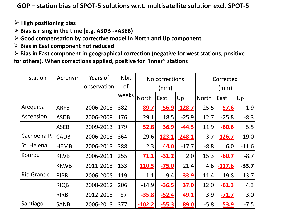**GOP – station bias of SPOT-5 solutions w.r.t. multisatellite solution excl. SPOT-5** 

- **High positioning bias**
- **Bias is rising in the time (e.g. ASDB ->ASEB)**

**Good compensation by corrective model in North and Up component**

**Bias in East component not reduced**

 **Bias in East component in geographical correction (negative for west stations, positive for others). When corrections applied, positive for "inner" stations**

| <b>Station</b>    | Acronym     | Years of    | Nbr.      | No corrections |         |          | Corrected    |              |         |
|-------------------|-------------|-------------|-----------|----------------|---------|----------|--------------|--------------|---------|
|                   |             | observation | <b>of</b> | (mm)           |         |          | (mm)         |              |         |
|                   |             |             | weeks     | <b>North</b>   | East    | Up       | <b>North</b> | East         | Up      |
| Arequipa          | <b>ARFB</b> | 2006-2013   | 382       | 89.7           | $-56.9$ | $-128.7$ | 25.5         | 57.6         | $-1.9$  |
| Ascension         | <b>ASDB</b> | 2006-2009   | 176       | 29.1           | 18.5    | $-25.9$  | 12.7         | $-25.8$      | $-8.3$  |
|                   | <b>ASEB</b> | 2009-2013   | 179       | <b>52.8</b>    | 36.9    | $-44.5$  | 11.9         | $-60.6$      | 5.5     |
| Cachoeira P.      | <b>CADB</b> | 2006-2013   | 364       | $-29.6$        | 123.1   | $-248.1$ | 3.7          | <b>126.7</b> | 19.0    |
| St. Helena        | <b>HEMB</b> | 2006-2013   | 388       | 2.3            | 44.0    | $-17.7$  | $-8.8$       | 6.0          | $-11.6$ |
| Kourou            | <b>KRVB</b> | 2006-2011   | 255       | 71.1           | $-31.2$ | 2.0      | 15.3         | $-60.7$      | $-8.7$  |
|                   | <b>KRWB</b> | 2011-2013   | 133       | 110.5          | $-75.0$ | $-21.4$  | 4.6          | $-117.6$     | $-33.7$ |
| <b>Rio Grande</b> | <b>RIPB</b> | 2006-2008   | 119       | $-1.1$         | $-9.4$  | 33.9     | 11.4         | $-19.8$      | 13.7    |
|                   | <b>RIQB</b> | 2008-2012   | 206       | $-14.9$        | $-36.5$ | 37.0     | 12.0         | $-61.3$      | 4.3     |
|                   | <b>RIRB</b> | 2012-2013   | 87        | $-35.8$        | $-52.4$ | 49.1     | 3.9          | $-71.7$      | 3.0     |
| Santiago          | <b>SANB</b> | 2006-2013   | 377       | $-102.2$       | $-55.3$ | 89.0     | $-5.8$       | <u>53.9</u>  | $-7.5$  |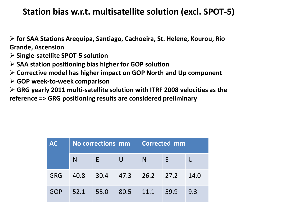# **Station bias w.r.t. multisatellite solution (excl. SPOT-5)**

- **for SAA Stations Arequipa, Santiago, Cachoeira, St. Helene, Kourou, Rio Grande, Ascension**
- **Single-satellite SPOT-5 solution**
- **SAA station positioning bias higher for GOP solution**
- **Corrective model has higher impact on GOP North and Up component**
- **GOP week-to-week comparison**
- **GRG yearly 2011 multi-satellite solution with ITRF 2008 velocities as the reference => GRG positioning results are considered preliminary**

| <b>AC</b>  | No corrections mm |          |                       | <b>Corrected mm</b> |   |      |
|------------|-------------------|----------|-----------------------|---------------------|---|------|
|            | N                 | E.       |                       | N                   | E |      |
| <b>GRG</b> | 40.8              |          | $30.4$ 47.3 26.2 27.2 |                     |   | 14.0 |
| GOP        | 52.1              | $-155.0$ | 80.5                  | 11.1 59.9           |   | 9.3  |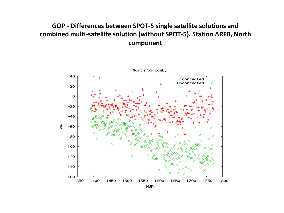## **GOP - Differences between SPOT-5 single satellite solutions and combined multi-satellite solution (without SPOT-5). Station ARFB, North component**



North S5-Comb.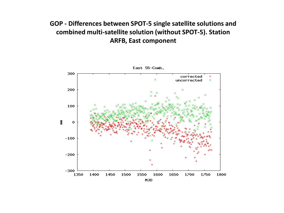## **GOP - Differences between SPOT-5 single satellite solutions and combined multi-satellite solution (without SPOT-5). Station ARFB, East component**

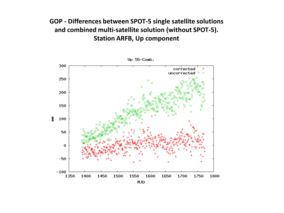## **GOP - Differences between SPOT-5 single satellite solutions and combined multi-satellite solution (without SPOT-5). Station ARFB, Up component**



Up  $S5-Comb$ .